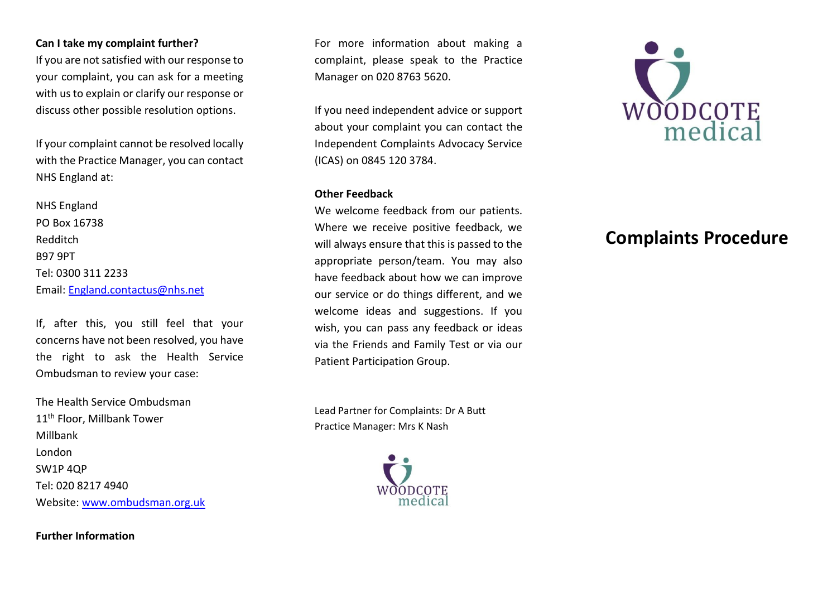# **Can I take my complaint further?**

If you are not satisfied with our response to your complaint, you can ask for a meeting with us to explain or clarify our response or discuss other possible resolution options.

If your complaint cannot be resolved locally with the Practice Manager, you can contact NHS England at:

NHS England PO Box 16738 Redditch B97 9PT Tel: 0300 311 2233 Email: [England.contactus@nhs.net](mailto:England.contactus@nhs.net)

If, after this, you still feel that your concerns have not been resolved, you have the right to ask the Health Service Ombudsman to review your case:

The Health Service Ombudsman 11<sup>th</sup> Floor, Millbank Tower Millbank London SW1P 4QP Tel: 020 8217 4940 Website: [www.ombudsman.org.uk](http://www.ombudsman.org.uk/)

**Further Information**

For more information about making a complaint, please speak to the Practice Manager on 020 8763 5620.

If you need independent advice or support about your complaint you can contact the Independent Complaints Advocacy Service (ICAS) on 0845 120 3784.

## **Other Feedback**

We welcome feedback from our patients. Where we receive positive feedback, we will always ensure that this is passed to the appropriate person/team. You may also have feedback about how we can improve our service or do things different, and we welcome ideas and suggestions. If you wish, you can pass any feedback or ideas via the Friends and Family Test or via our Patient Participation Group.

Lead Partner for Complaints: Dr A Butt Practice Manager: Mrs K Nash





# **Complaints Procedure**